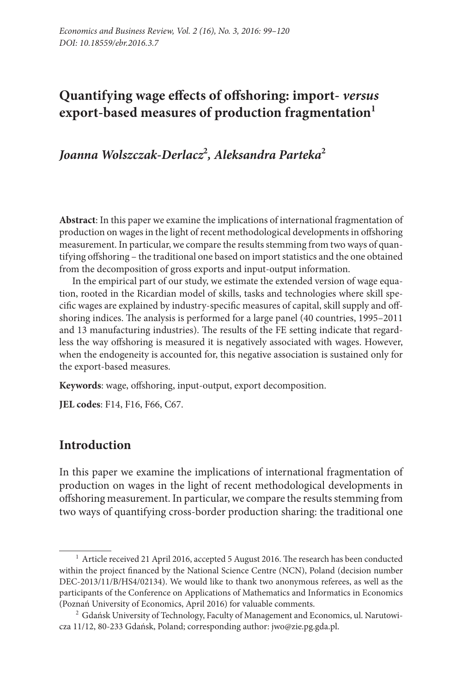## **Quantifying wage effects of offshoring: import-** *versus*  **export-based measures of production fragmentation1**

*Joanna Wolszczak-Derlacz***<sup>2</sup>** *, Aleksandra Parteka***<sup>2</sup>**

**Abstract**: In this paper we examine the implications of international fragmentation of production on wages in the light of recent methodological developments in offshoring measurement. In particular, we compare the results stemming from two ways of quantifying offshoring – the traditional one based on import statistics and the one obtained from the decomposition of gross exports and input-output information.

In the empirical part of our study, we estimate the extended version of wage equation, rooted in the Ricardian model of skills, tasks and technologies where skill specific wages are explained by industry-specific measures of capital, skill supply and offshoring indices. The analysis is performed for a large panel (40 countries, 1995–2011 and 13 manufacturing industries). The results of the FE setting indicate that regardless the way offshoring is measured it is negatively associated with wages. However, when the endogeneity is accounted for, this negative association is sustained only for the export-based measures.

**Keywords**: wage, offshoring, input-output, export decomposition.

**JEL codes**: F14, F16, F66, C67.

## **Introduction**

In this paper we examine the implications of international fragmentation of production on wages in the light of recent methodological developments in offshoring measurement. In particular, we compare the results stemming from two ways of quantifying cross-border production sharing: the traditional one

<sup>&</sup>lt;sup>1</sup> Article received 21 April 2016, accepted 5 August 2016. The research has been conducted within the project financed by the National Science Centre (NCN), Poland (decision number DEC-2013/11/B/HS4/02134). We would like to thank two anonymous referees, as well as the participants of the Conference on Applications of Mathematics and Informatics in Economics (Poznań University of Economics, April 2016) for valuable comments.

<sup>&</sup>lt;sup>2</sup> Gdańsk University of Technology, Faculty of Management and Economics, ul. Narutowicza 11/12, 80-233 Gdańsk, Poland; corresponding author: jwo@zie.pg.gda.pl.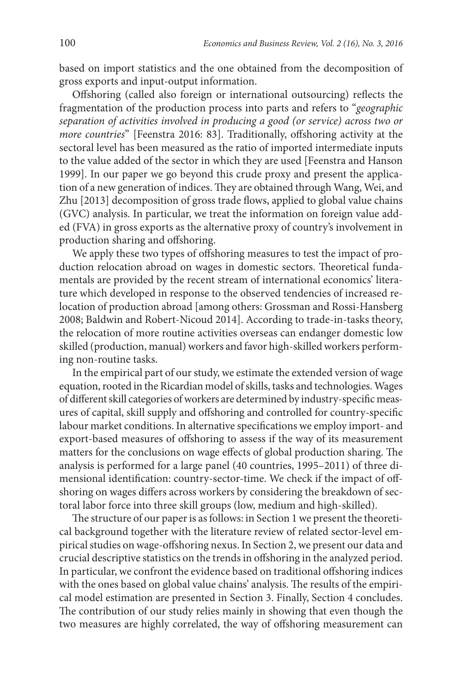based on import statistics and the one obtained from the decomposition of gross exports and input-output information.

Offshoring (called also foreign or international outsourcing) reflects the fragmentation of the production process into parts and refers to "*geographic separation of activities involved in producing a good (or service) across two or more countries*" [Feenstra 2016: 83]. Traditionally, offshoring activity at the sectoral level has been measured as the ratio of imported intermediate inputs to the value added of the sector in which they are used [Feenstra and Hanson 1999]. In our paper we go beyond this crude proxy and present the application of a new generation of indices. They are obtained through Wang, Wei, and Zhu [2013] decomposition of gross trade flows, applied to global value chains (GVC) analysis. In particular, we treat the information on foreign value added (FVA) in gross exports as the alternative proxy of country's involvement in production sharing and offshoring.

We apply these two types of offshoring measures to test the impact of production relocation abroad on wages in domestic sectors. Theoretical fundamentals are provided by the recent stream of international economics' literature which developed in response to the observed tendencies of increased relocation of production abroad [among others: Grossman and Rossi-Hansberg 2008; Baldwin and Robert-Nicoud 2014]. According to trade-in-tasks theory, the relocation of more routine activities overseas can endanger domestic low skilled (production, manual) workers and favor high-skilled workers performing non-routine tasks.

In the empirical part of our study, we estimate the extended version of wage equation, rooted in the Ricardian model of skills, tasks and technologies. Wages of different skill categories of workers are determined by industry-specific measures of capital, skill supply and offshoring and controlled for country-specific labour market conditions. In alternative specifications we employ import- and export-based measures of offshoring to assess if the way of its measurement matters for the conclusions on wage effects of global production sharing. The analysis is performed for a large panel (40 countries, 1995–2011) of three dimensional identification: country-sector-time. We check if the impact of offshoring on wages differs across workers by considering the breakdown of sectoral labor force into three skill groups (low, medium and high-skilled).

The structure of our paper is as follows: in Section 1 we present the theoretical background together with the literature review of related sector-level empirical studies on wage-offshoring nexus. In Section 2, we present our data and crucial descriptive statistics on the trends in offshoring in the analyzed period. In particular, we confront the evidence based on traditional offshoring indices with the ones based on global value chains' analysis. The results of the empirical model estimation are presented in Section 3. Finally, Section 4 concludes. The contribution of our study relies mainly in showing that even though the two measures are highly correlated, the way of offshoring measurement can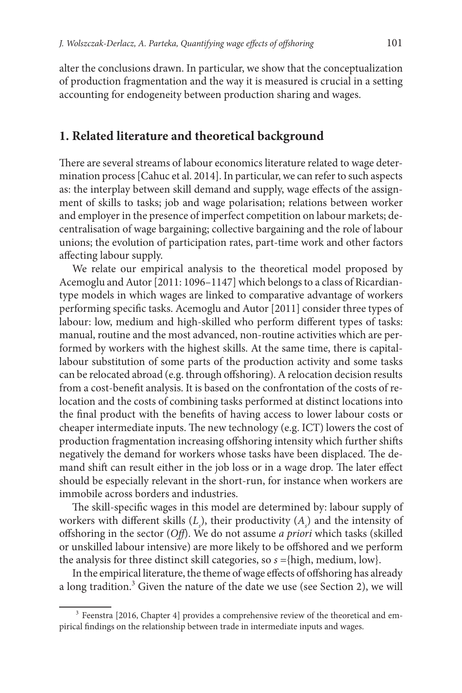alter the conclusions drawn. In particular, we show that the conceptualization of production fragmentation and the way it is measured is crucial in a setting accounting for endogeneity between production sharing and wages.

#### **1. Related literature and theoretical background**

There are several streams of labour economics literature related to wage determination process [Cahuc et al. 2014]. In particular, we can refer to such aspects as: the interplay between skill demand and supply, wage effects of the assignment of skills to tasks; job and wage polarisation; relations between worker and employer in the presence of imperfect competition on labour markets; decentralisation of wage bargaining; collective bargaining and the role of labour unions; the evolution of participation rates, part-time work and other factors affecting labour supply.

We relate our empirical analysis to the theoretical model proposed by Acemoglu and Autor [2011: 1096–1147] which belongs to a class of Ricardiantype models in which wages are linked to comparative advantage of workers performing specific tasks. Acemoglu and Autor [2011] consider three types of labour: low, medium and high-skilled who perform different types of tasks: manual, routine and the most advanced, non-routine activities which are performed by workers with the highest skills. At the same time, there is capitallabour substitution of some parts of the production activity and some tasks can be relocated abroad (e.g. through offshoring). A relocation decision results from a cost-benefit analysis. It is based on the confrontation of the costs of relocation and the costs of combining tasks performed at distinct locations into the final product with the benefits of having access to lower labour costs or cheaper intermediate inputs. The new technology (e.g. ICT) lowers the cost of production fragmentation increasing offshoring intensity which further shifts negatively the demand for workers whose tasks have been displaced. The demand shift can result either in the job loss or in a wage drop. The later effect should be especially relevant in the short-run, for instance when workers are immobile across borders and industries.

The skill-specific wages in this model are determined by: labour supply of workers with different skills  $(L<sub>s</sub>)$ , their productivity  $(A<sub>s</sub>)$  and the intensity of offshoring in the sector (*Off*). We do not assume *a priori* which tasks (skilled or unskilled labour intensive) are more likely to be offshored and we perform the analysis for three distinct skill categories, so *s* ={high, medium, low}.

In the empirical literature, the theme of wage effects of offshoring has already a long tradition.<sup>3</sup> Given the nature of the date we use (see Section 2), we will

<sup>&</sup>lt;sup>3</sup> Feenstra [2016, Chapter 4] provides a comprehensive review of the theoretical and empirical findings on the relationship between trade in intermediate inputs and wages.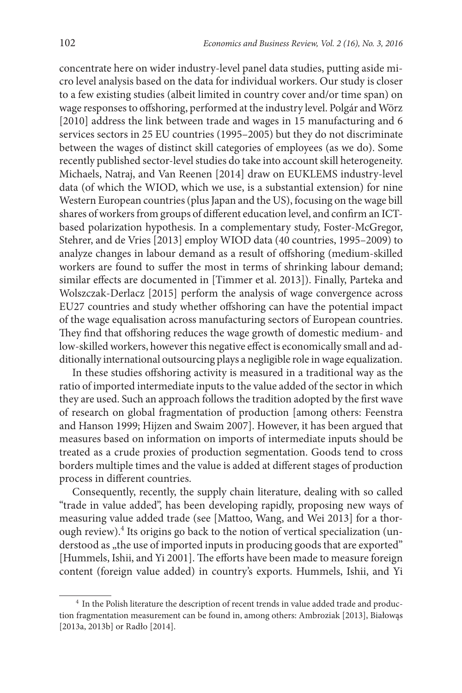concentrate here on wider industry-level panel data studies, putting aside micro level analysis based on the data for individual workers. Our study is closer to a few existing studies (albeit limited in country cover and/or time span) on wage responses to offshoring, performed at the industry level. Polgár and Wörz [2010] address the link between trade and wages in 15 manufacturing and 6 services sectors in 25 EU countries (1995–2005) but they do not discriminate between the wages of distinct skill categories of employees (as we do). Some recently published sector-level studies do take into account skill heterogeneity. Michaels, Natraj, and Van Reenen [2014] draw on EUKLEMS industry-level data (of which the WIOD, which we use, is a substantial extension) for nine Western European countries (plus Japan and the US), focusing on the wage bill shares of workers from groups of different education level, and confirm an ICTbased polarization hypothesis. In a complementary study, Foster-McGregor, Stehrer, and de Vries [2013] employ WIOD data (40 countries, 1995–2009) to analyze changes in labour demand as a result of offshoring (medium-skilled workers are found to suffer the most in terms of shrinking labour demand; similar effects are documented in [Timmer et al. 2013]). Finally, Parteka and Wolszczak-Derlacz [2015] perform the analysis of wage convergence across EU27 countries and study whether offshoring can have the potential impact of the wage equalisation across manufacturing sectors of European countries. They find that offshoring reduces the wage growth of domestic medium- and low-skilled workers, however this negative effect is economically small and additionally international outsourcing plays a negligible role in wage equalization.

In these studies offshoring activity is measured in a traditional way as the ratio of imported intermediate inputs to the value added of the sector in which they are used. Such an approach follows the tradition adopted by the first wave of research on global fragmentation of production [among others: Feenstra and Hanson 1999; Hijzen and Swaim 2007]. However, it has been argued that measures based on information on imports of intermediate inputs should be treated as a crude proxies of production segmentation. Goods tend to cross borders multiple times and the value is added at different stages of production process in different countries.

Consequently, recently, the supply chain literature, dealing with so called "trade in value added", has been developing rapidly, proposing new ways of measuring value added trade (see [Mattoo, Wang, and Wei 2013] for a thorough review).<sup>4</sup> Its origins go back to the notion of vertical specialization (understood as "the use of imported inputs in producing goods that are exported" [Hummels, Ishii, and Yi 2001]. The efforts have been made to measure foreign content (foreign value added) in country's exports. Hummels, Ishii, and Yi

<sup>&</sup>lt;sup>4</sup> In the Polish literature the description of recent trends in value added trade and production fragmentation measurement can be found in, among others: Ambroziak [2013], Białowąs [2013a, 2013b] or Radło [2014].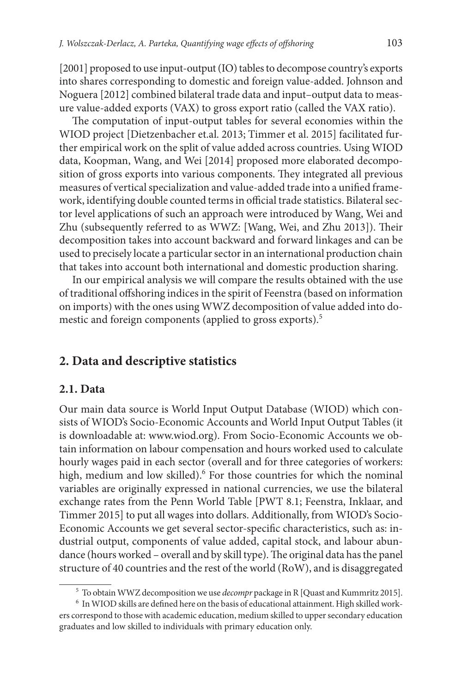[2001] proposed to use input-output (IO) tables to decompose country's exports into shares corresponding to domestic and foreign value-added. Johnson and Noguera [2012] combined bilateral trade data and input–output data to measure value-added exports (VAX) to gross export ratio (called the VAX ratio).

The computation of input-output tables for several economies within the WIOD project [Dietzenbacher et.al. 2013; Timmer et al. 2015] facilitated further empirical work on the split of value added across countries. Using WIOD data, Koopman, Wang, and Wei [2014] proposed more elaborated decomposition of gross exports into various components. They integrated all previous measures of vertical specialization and value-added trade into a unified framework, identifying double counted terms in official trade statistics. Bilateral sector level applications of such an approach were introduced by Wang, Wei and Zhu (subsequently referred to as WWZ: [Wang, Wei, and Zhu 2013]). Their decomposition takes into account backward and forward linkages and can be used to precisely locate a particular sector in an international production chain that takes into account both international and domestic production sharing.

In our empirical analysis we will compare the results obtained with the use of traditional offshoring indices in the spirit of Feenstra (based on information on imports) with the ones using WWZ decomposition of value added into domestic and foreign components (applied to gross exports).<sup>5</sup>

#### **2. Data and descriptive statistics**

#### **2.1. Data**

Our main data source is World Input Output Database (WIOD) which consists of WIOD's Socio-Economic Accounts and World Input Output Tables (it is downloadable at: www.wiod.org). From Socio-Economic Accounts we obtain information on labour compensation and hours worked used to calculate hourly wages paid in each sector (overall and for three categories of workers: high, medium and low skilled).<sup>6</sup> For those countries for which the nominal variables are originally expressed in national currencies, we use the bilateral exchange rates from the Penn World Table [PWT 8.1; Feenstra, Inklaar, and Timmer 2015] to put all wages into dollars. Additionally, from WIOD's Socio-Economic Accounts we get several sector-specific characteristics, such as: industrial output, components of value added, capital stock, and labour abundance (hours worked – overall and by skill type). The original data has the panel structure of 40 countries and the rest of the world (RoW), and is disaggregated

<sup>5</sup> To obtain WWZ decomposition we use *decompr* package in R [Quast and Kummritz 2015].

<sup>6</sup> In WIOD skills are defined here on the basis of educational attainment. High skilled workers correspond to those with academic education, medium skilled to upper secondary education graduates and low skilled to individuals with primary education only.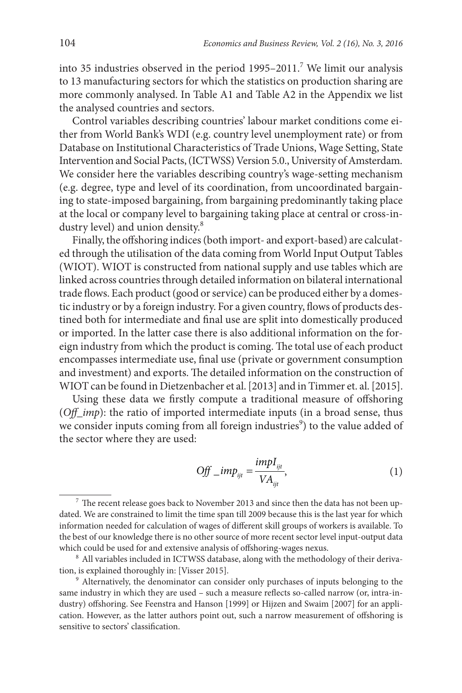into 35 industries observed in the period  $1995-2011$ .<sup>7</sup> We limit our analysis to 13 manufacturing sectors for which the statistics on production sharing are more commonly analysed. In Table A1 and Table A2 in the Appendix we list the analysed countries and sectors.

Control variables describing countries' labour market conditions come either from World Bank's WDI (e.g. country level unemployment rate) or from Database on Institutional Characteristics of Trade Unions, Wage Setting, State Intervention and Social Pacts, (ICTWSS) Version 5.0., University of Amsterdam. We consider here the variables describing country's wage-setting mechanism (e.g. degree, type and level of its coordination, from uncoordinated bargaining to state-imposed bargaining, from bargaining predominantly taking place at the local or company level to bargaining taking place at central or cross-industry level) and union density.<sup>8</sup>

Finally, the offshoring indices (both import- and export-based) are calculated through the utilisation of the data coming from World Input Output Tables (WIOT). WIOT is constructed from national supply and use tables which are linked across countries through detailed information on bilateral international trade flows. Each product (good or service) can be produced either by a domestic industry or by a foreign industry. For a given country, flows of products destined both for intermediate and final use are split into domestically produced or imported. In the latter case there is also additional information on the foreign industry from which the product is coming. The total use of each product encompasses intermediate use, final use (private or government consumption and investment) and exports. The detailed information on the construction of WIOT can be found in Dietzenbacher et al. [2013] and in Timmer et. al. [2015].

Using these data we firstly compute a traditional measure of offshoring (*Off\_imp*): the ratio of imported intermediate inputs (in a broad sense, thus we consider inputs coming from all foreign industries<sup>9</sup>) to the value added of the sector where they are used:

$$
Off\_imp_{ijt} = \frac{impI_{ijt}}{VA_{ijt}},
$$
\n(1)

 $^7$  The recent release goes back to November 2013 and since then the data has not been updated. We are constrained to limit the time span till 2009 because this is the last year for which information needed for calculation of wages of different skill groups of workers is available. To the best of our knowledge there is no other source of more recent sector level input-output data which could be used for and extensive analysis of offshoring-wages nexus.

<sup>&</sup>lt;sup>8</sup> All variables included in ICTWSS database, along with the methodology of their derivation, is explained thoroughly in: [Visser 2015].

<sup>&</sup>lt;sup>9</sup> Alternatively, the denominator can consider only purchases of inputs belonging to the same industry in which they are used – such a measure reflects so-called narrow (or, intra-industry) offshoring. See Feenstra and Hanson [1999] or Hijzen and Swaim [2007] for an application. However, as the latter authors point out, such a narrow measurement of offshoring is sensitive to sectors' classification.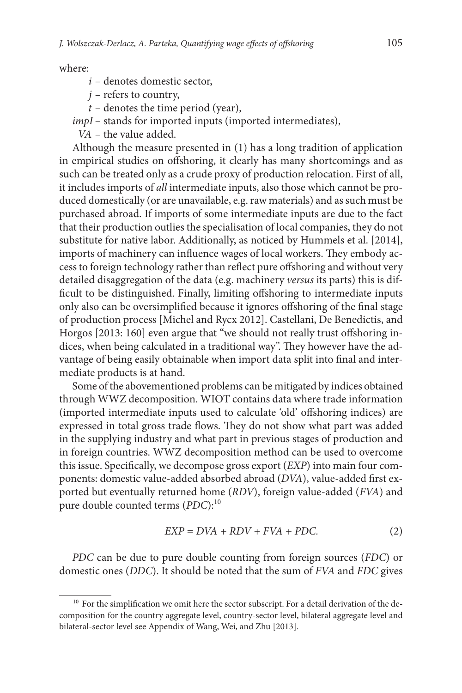where:

- *i* denotes domestic sector,
- *j* refers to country,
- *t* denotes the time period (year),

*impI* – stands for imported inputs (imported intermediates),

*VA* – the value added.

Although the measure presented in (1) has a long tradition of application in empirical studies on offshoring, it clearly has many shortcomings and as such can be treated only as a crude proxy of production relocation. First of all, it includes imports of *all* intermediate inputs, also those which cannot be produced domestically (or are unavailable, e.g. raw materials) and as such must be purchased abroad. If imports of some intermediate inputs are due to the fact that their production outlies the specialisation of local companies, they do not substitute for native labor. Additionally, as noticed by Hummels et al. [2014], imports of machinery can influence wages of local workers. They embody access to foreign technology rather than reflect pure offshoring and without very detailed disaggregation of the data (e.g. machinery *versus* its parts) this is difficult to be distinguished. Finally, limiting offshoring to intermediate inputs only also can be oversimplified because it ignores offshoring of the final stage of production process [Michel and Rycx 2012]. Castellani, De Benedictis, and Horgos [2013: 160] even argue that "we should not really trust offshoring indices, when being calculated in a traditional way". They however have the advantage of being easily obtainable when import data split into final and intermediate products is at hand.

Some of the abovementioned problems can be mitigated by indices obtained through WWZ decomposition. WIOT contains data where trade information (imported intermediate inputs used to calculate 'old' offshoring indices) are expressed in total gross trade flows. They do not show what part was added in the supplying industry and what part in previous stages of production and in foreign countries. WWZ decomposition method can be used to overcome this issue. Specifically, we decompose gross export (*EXP*) into main four components: domestic value-added absorbed abroad (*DVA*), value-added first exported but eventually returned home (*RDV*), foreign value-added (*FVA*) and pure double counted terms (*PDC*):<sup>10</sup>

$$
EXP = DVA + RDV + FVA + PDC.
$$
 (2)

*PDC* can be due to pure double counting from foreign sources (*FDC*) or domestic ones (*DDC*). It should be noted that the sum of *FVA* and *FDC* gives

 $10<sup>10</sup>$  For the simplification we omit here the sector subscript. For a detail derivation of the decomposition for the country aggregate level, country-sector level, bilateral aggregate level and bilateral-sector level see Appendix of Wang, Wei, and Zhu [2013].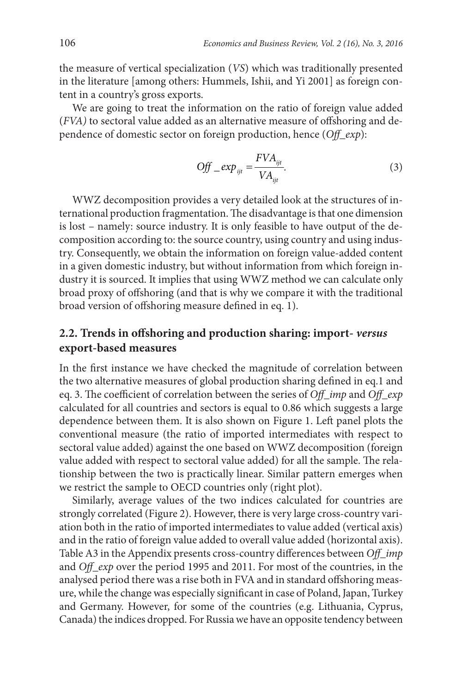the measure of vertical specialization (*VS*) which was traditionally presented in the literature [among others: Hummels, Ishii, and Yi 2001] as foreign content in a country's gross exports.

We are going to treat the information on the ratio of foreign value added (*FVA)* to sectoral value added as an alternative measure of offshoring and dependence of domestic sector on foreign production, hence (*Off\_exp*):

$$
Off\_exp_{ijt} = \frac{FVA_{ijt}}{VA_{ijt}}.\tag{3}
$$

WWZ decomposition provides a very detailed look at the structures of international production fragmentation. The disadvantage is that one dimension is lost – namely: source industry. It is only feasible to have output of the decomposition according to: the source country, using country and using industry. Consequently, we obtain the information on foreign value-added content in a given domestic industry, but without information from which foreign industry it is sourced. It implies that using WWZ method we can calculate only broad proxy of offshoring (and that is why we compare it with the traditional broad version of offshoring measure defined in eq. 1).

## **2.2. Trends in offshoring and production sharing: import-** *versus* **export-based measures**

In the first instance we have checked the magnitude of correlation between the two alternative measures of global production sharing defined in eq.1 and eq. 3. The coefficient of correlation between the series of *Off\_imp* and *Off\_exp* calculated for all countries and sectors is equal to 0.86 which suggests a large dependence between them. It is also shown on Figure 1. Left panel plots the conventional measure (the ratio of imported intermediates with respect to sectoral value added) against the one based on WWZ decomposition (foreign value added with respect to sectoral value added) for all the sample. The relationship between the two is practically linear. Similar pattern emerges when we restrict the sample to OECD countries only (right plot).

Similarly, average values of the two indices calculated for countries are strongly correlated (Figure 2). However, there is very large cross-country variation both in the ratio of imported intermediates to value added (vertical axis) and in the ratio of foreign value added to overall value added (horizontal axis). Table A3 in the Appendix presents cross-country differences between *Off\_imp* and *Off\_exp* over the period 1995 and 2011. For most of the countries, in the analysed period there was a rise both in FVA and in standard offshoring measure, while the change was especially significant in case of Poland, Japan, Turkey and Germany. However, for some of the countries (e.g. Lithuania, Cyprus, Canada) the indices dropped. For Russia we have an opposite tendency between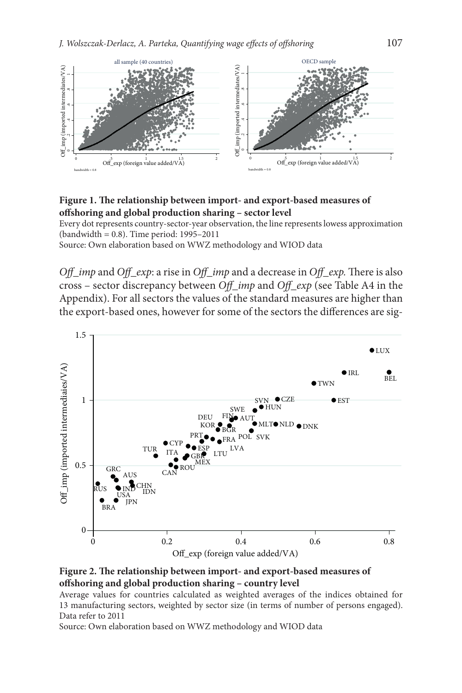

**Figure 1. The relationship between import- and export-based measures of offshoring and global production sharing – sector level**

Every dot represents country-sector-year observation, the line represents lowess approximation (bandwidth = 0.8). Time period: 1995–2011

Source: Own elaboration based on WWZ methodology and WIOD data

*Off\_imp* and *Off\_exp*: a rise in *Off\_imp* and a decrease in *Off\_exp.* There is also cross – sector discrepancy between *Off\_imp* and *Off\_exp* (see Table A4 in the Appendix). For all sectors the values of the standard measures are higher than the export-based ones, however for some of the sectors the differences are sig-





Average values for countries calculated as weighted averages of the indices obtained for 13 manufacturing sectors, weighted by sector size (in terms of number of persons engaged). Data refer to 2011

Source: Own elaboration based on WWZ methodology and WIOD data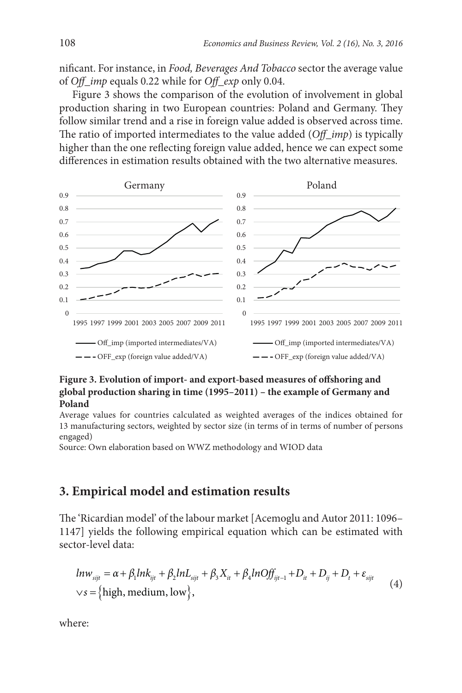nificant. For instance, in *Food, Beverages And Tobacco* sector the average value of *Off\_imp* equals 0.22 while for *Off\_exp* only 0.04.

Figure 3 shows the comparison of the evolution of involvement in global production sharing in two European countries: Poland and Germany. They follow similar trend and a rise in foreign value added is observed across time. The ratio of imported intermediates to the value added (*Off\_imp*) is typically higher than the one reflecting foreign value added, hence we can expect some differences in estimation results obtained with the two alternative measures.



#### **Figure 3. Evolution of import- and export-based measures of offshoring and global production sharing in time (1995–2011) – the example of Germany and Poland**

Average values for countries calculated as weighted averages of the indices obtained for 13 manufacturing sectors, weighted by sector size (in terms of in terms of number of persons engaged)

Source: Own elaboration based on WWZ methodology and WIOD data

## **3. Empirical model and estimation results**

The 'Ricardian model' of the labour market [Acemoglu and Autor 2011: 1096– 1147] yields the following empirical equation which can be estimated with sector-level data:

$$
ln w_{sijt} = \alpha + \beta_1 ln k_{ijt} + \beta_2 ln L_{sijt} + \beta_3 X_{it} + \beta_4 ln \widehat{Off}_{ijt-1} + D_{it} + D_{ij} + D_t + \varepsilon_{sijt}
$$
  
\n
$$
\vee s = \left\{ high, medium, low \right\},\tag{4}
$$

where: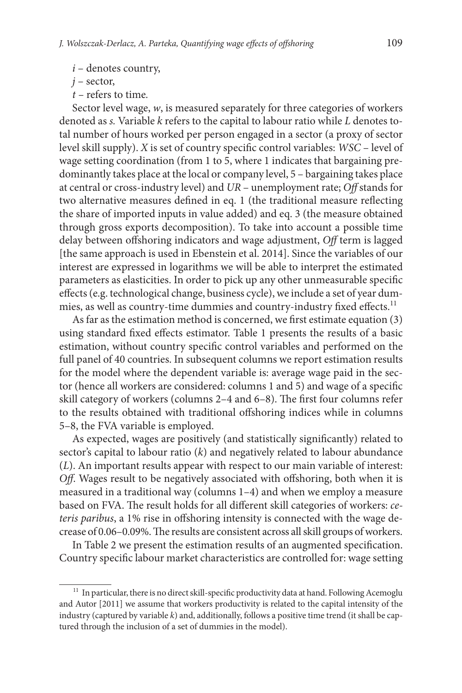*i* – denotes country,

*j* – sector,

*t –* refers to time*.*

Sector level wage, *w*, is measured separately for three categories of workers denoted as *s.* Variable *k* refers to the capital to labour ratio while *L* denotes total number of hours worked per person engaged in a sector (a proxy of sector level skill supply). *X* is set of country specific control variables: *WSC* – level of wage setting coordination (from 1 to 5, where 1 indicates that bargaining predominantly takes place at the local or company level, 5 – bargaining takes place at central or cross-industry level) and *UR* – unemployment rate; *Off* stands for two alternative measures defined in eq. 1 (the traditional measure reflecting the share of imported inputs in value added) and eq. 3 (the measure obtained through gross exports decomposition). To take into account a possible time delay between offshoring indicators and wage adjustment, *Off* term is lagged [the same approach is used in Ebenstein et al. 2014]. Since the variables of our interest are expressed in logarithms we will be able to interpret the estimated parameters as elasticities. In order to pick up any other unmeasurable specific effects (e.g. technological change, business cycle), we include a set of year dummies, as well as country-time dummies and country-industry fixed effects.<sup>11</sup>

As far as the estimation method is concerned, we first estimate equation (3) using standard fixed effects estimator. Table 1 presents the results of a basic estimation, without country specific control variables and performed on the full panel of 40 countries. In subsequent columns we report estimation results for the model where the dependent variable is: average wage paid in the sector (hence all workers are considered: columns 1 and 5) and wage of a specific skill category of workers (columns 2–4 and 6–8). The first four columns refer to the results obtained with traditional offshoring indices while in columns 5–8, the FVA variable is employed.

As expected, wages are positively (and statistically significantly) related to sector's capital to labour ratio (*k*) and negatively related to labour abundance (*L*). An important results appear with respect to our main variable of interest: *Off*. Wages result to be negatively associated with offshoring, both when it is measured in a traditional way (columns 1–4) and when we employ a measure based on FVA. The result holds for all different skill categories of workers: *ceteris paribus*, a 1% rise in offshoring intensity is connected with the wage decrease of 0.06–0.09%. The results are consistent across all skill groups of workers.

In Table 2 we present the estimation results of an augmented specification. Country specific labour market characteristics are controlled for: wage setting

<sup>&</sup>lt;sup>11</sup> In particular, there is no direct skill-specific productivity data at hand. Following Acemoglu and Autor [2011] we assume that workers productivity is related to the capital intensity of the industry (captured by variable *k*) and, additionally, follows a positive time trend (it shall be captured through the inclusion of a set of dummies in the model).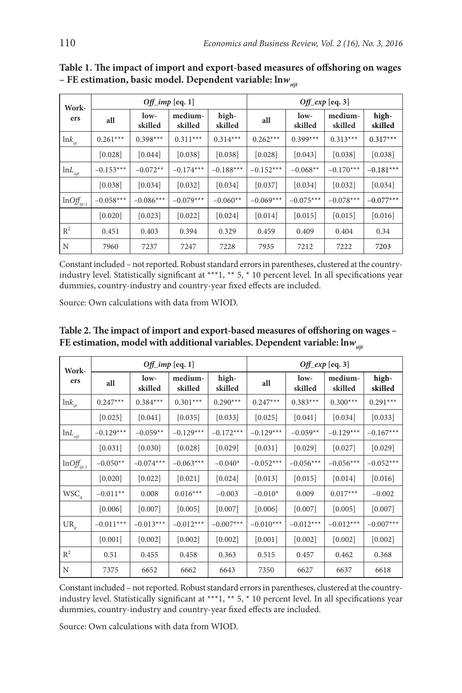| Work-                                     | $Off\_imp$ [eq. 1] |                 |                    |                  | $Off\_exp$ [eq. 3] |                 |                    |                  |
|-------------------------------------------|--------------------|-----------------|--------------------|------------------|--------------------|-----------------|--------------------|------------------|
| ers                                       | all                | low-<br>skilled | medium-<br>skilled | high-<br>skilled | all                | low-<br>skilled | medium-<br>skilled | high-<br>skilled |
| $ln k_{ijt}$                              | $0.261***$         | $0.398***$      | $0.311***$         | $0.314***$       | $0.262***$         | $0.399***$      | $0.313***$         | $0.317***$       |
|                                           | [0.028]            | [0.044]         | [0.038]            | [0.038]          | [0.028]            | [0.043]         | [0.038]            | [0.038]          |
| $lnL$ <sub>sijt</sub>                     | $-0.153***$        | $-0.072**$      | $-0.174***$        | $-0.188***$      | $-0.152***$        | $-0.068**$      | $-0.170***$        | $-0.181***$      |
|                                           | [0.038]            | [0.034]         | [0.032]            | [0.034]          | [0.037]            | [0.034]         | [0.032]            | [0.034]          |
| $ln \left( \frac{df_{ijl-1}}{dt} \right)$ | $-0.058***$        | $-0.086***$     | $-0.079***$        | $-0.060**$       | $-0.069***$        | $-0.075***$     | $-0.078***$        | $-0.077***$      |
|                                           | [0.020]            | [0.023]         | [0.022]            | [0.024]          | [0.014]            | [0.015]         | [0.015]            | [0.016]          |
| $\mathbb{R}^2$                            | 0.451              | 0.403           | 0.394              | 0.329            | 0.459              | 0.409           | 0.404              | 0.34             |
| N                                         | 7960               | 7237            | 7247               | 7228             | 7935               | 7212            | 7222               | 7203             |

**Table 1. The impact of import and export-based measures of offshoring on wages – FE estimation, basic model. Dependent variable: lnw** 

Constant included – not reported. Robust standard errors in parentheses, clustered at the countryindustry level. Statistically significant at \*\*\*1, \*\* 5, \* 10 percent level. In all specifications year dummies, country-industry and country-year fixed effects are included.

Source: Own calculations with data from WIOD.

| Work-                                   | $Off\_imp$ [eq. 1] |                 |                    |                  | Off_exp [eq. 3] |                   |                    |                  |
|-----------------------------------------|--------------------|-----------------|--------------------|------------------|-----------------|-------------------|--------------------|------------------|
| ers                                     | all                | low-<br>skilled | medium-<br>skilled | high-<br>skilled | all             | $low-$<br>skilled | medium-<br>skilled | high-<br>skilled |
| $\ln k_{ijt}$                           | $0.247***$         | $0.384***$      | $0.301***$         | $0.290***$       | $0.247***$      | $0.383***$        | $0.300***$         | $0.291***$       |
|                                         | [0.025]            | [0.041]         | [0.035]            | [0.033]          | [0.025]         | [0.041]           | [0.034]            | [0.033]          |
| ${\rm ln}L_{\rm sijt}$                  | $-0.129***$        | $-0.059**$      | $-0.129***$        | $-0.172***$      | $-0.129***$     | $-0.059**$        | $-0.129***$        | $-0.167***$      |
|                                         | [0.031]            | [0.030]         | [0.028]            | [0.029]          | [0.031]         | [0.029]           | [0.027]            | [0.029]          |
| $ln \left( \frac{df_{ijt-1}}{f}\right)$ | $-0.050**$         | $-0.074***$     | $-0.063***$        | $-0.040*$        | $-0.052***$     | $-0.056***$       | $-0.056***$        | $-0.052***$      |
|                                         | $[0.020]$          | $[0.022]$       | [0.021]            | $[0.024]$        | [0.013]         | [0.015]           | [0.014]            | $[0.016]$        |
| $WSC_{it}$                              | $-0.011**$         | 0.008           | $0.016***$         | $-0.003$         | $-0.010*$       | 0.009             | $0.017***$         | $-0.002$         |
|                                         | [0.006]            | [0.007]         | [0.005]            | [0.007]          | [0.006]         | [0.007]           | [0.005]            | [0.007]          |
| $UR_{it}$                               | $-0.011***$        | $-0.013***$     | $-0.012***$        | $-0.007***$      | $-0.010***$     | $-0.012***$       | $-0.012***$        | $-0.007***$      |
|                                         | [0.001]            | $[0.002]$       | [0.002]            | [0.002]          | [0.001]         | [0.002]           | $[0.002]$          | [0.002]          |
| $\mathbb{R}^2$                          | 0.51               | 0.455           | 0.458              | 0.363            | 0.515           | 0.457             | 0.462              | 0.368            |
| N                                       | 7375               | 6652            | 6662               | 6643             | 7350            | 6627              | 6637               | 6618             |

**Table 2. The impact of import and export-based measures of offshoring on wages – FE estimation, model with additional variables. Dependent variable: lnw**<sub>sit</sub>

Constant included – not reported. Robust standard errors in parentheses, clustered at the countryindustry level. Statistically significant at \*\*\*1, \*\* 5, \* 10 percent level. In all specifications year dummies, country-industry and country-year fixed effects are included.

Source: Own calculations with data from WIOD.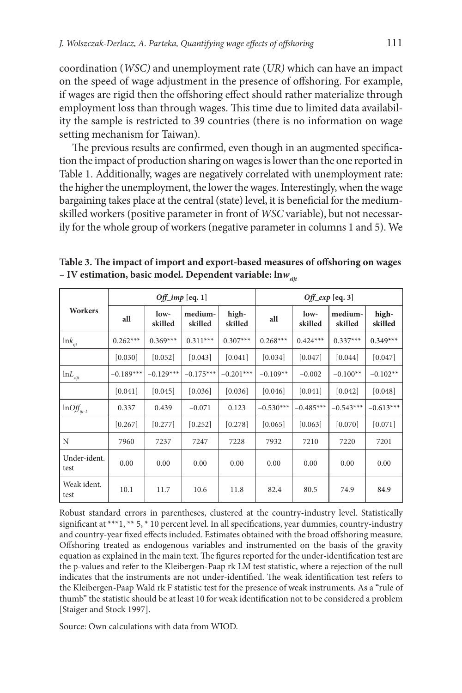coordination (*WSC)* and unemployment rate (*UR)* which can have an impact on the speed of wage adjustment in the presence of offshoring. For example, if wages are rigid then the offshoring effect should rather materialize through employment loss than through wages. This time due to limited data availability the sample is restricted to 39 countries (there is no information on wage setting mechanism for Taiwan).

The previous results are confirmed, even though in an augmented specification the impact of production sharing on wages is lower than the one reported in Table 1. Additionally, wages are negatively correlated with unemployment rate: the higher the unemployment, the lower the wages. Interestingly, when the wage bargaining takes place at the central (state) level, it is beneficial for the mediumskilled workers (positive parameter in front of *WSC* variable), but not necessarily for the whole group of workers (negative parameter in columns 1 and 5). We

|                                       | $Off\_imp$ [eq. 1] |                 |                    |                  | Off_exp [eq. 3] |                   |                    |                  |
|---------------------------------------|--------------------|-----------------|--------------------|------------------|-----------------|-------------------|--------------------|------------------|
| Workers                               | all                | low-<br>skilled | medium-<br>skilled | high-<br>skilled | all             | $low-$<br>skilled | medium-<br>skilled | high-<br>skilled |
| $ln k_{ijt}$                          | $0.262***$         | $0.369***$      | $0.311***$         | $0.307***$       | $0.268***$      | $0.424***$        | $0.337***$         | $0.349***$       |
|                                       | [0.030]            | [0.052]         | [0.043]            | [0.041]          | [0.034]         | [0.047]           | [0.044]            | [0.047]          |
| $lnL$ <sub>siit</sub>                 | $-0.189***$        | $-0.129***$     | $-0.175***$        | $-0.201***$      | $-0.109**$      | $-0.002$          | $-0.100**$         | $-0.102**$       |
|                                       | [0.041]            | [0.045]         | [0.036]            | [0.036]          | [0.046]         | [0.041]           | [0.042]            | [0.048]          |
| $ln \left( \frac{df_{i}}{dt} \right)$ | 0.337              | 0.439           | $-0.071$           | 0.123            | $-0.530***$     | $-0.485***$       | $-0.543***$        | $-0.613***$      |
|                                       | [0.267]            | [0.277]         | [0.252]            | [0.278]          | [0.065]         | [0.063]           | [0.070]            | [0.071]          |
| N                                     | 7960               | 7237            | 7247               | 7228             | 7932            | 7210              | 7220               | 7201             |
| Under-ident.<br>test                  | 0.00               | 0.00            | 0.00               | 0.00             | 0.00            | 0.00              | 0.00               | 0.00             |
| Weak ident.<br>test                   | 10.1               | 11.7            | 10.6               | 11.8             | 82.4            | 80.5              | 74.9               | 84.9             |

**Table 3. The impact of import and export-based measures of offshoring on wages – IV estimation, basic model. Dependent variable:**  $\ln w_{\text{air}}$ 

Robust standard errors in parentheses, clustered at the country-industry level. Statistically significant at \*\*\*1, \*\* 5, \* 10 percent level. In all specifications, year dummies, country-industry and country-year fixed effects included. Estimates obtained with the broad offshoring measure. Offshoring treated as endogenous variables and instrumented on the basis of the gravity equation as explained in the main text. The figures reported for the under-identification test are the p-values and refer to the Kleibergen-Paap rk LM test statistic, where a rejection of the null indicates that the instruments are not under-identified. The weak identification test refers to the Kleibergen-Paap Wald rk F statistic test for the presence of weak instruments. As a "rule of thumb" the statistic should be at least 10 for weak identification not to be considered a problem [Staiger and Stock 1997].

Source: Own calculations with data from WIOD.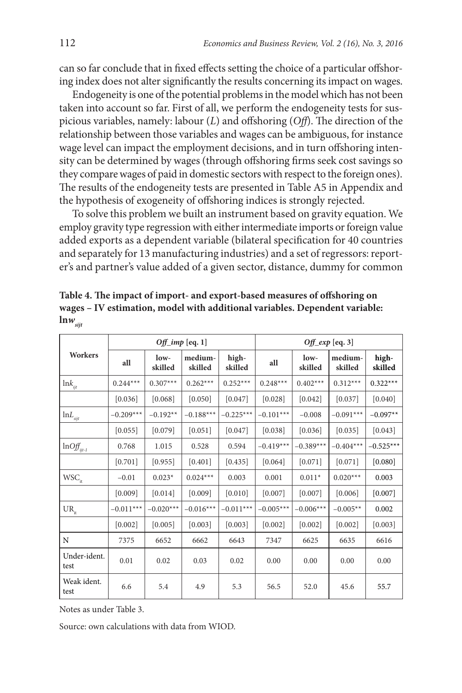can so far conclude that in fixed effects setting the choice of a particular offshoring index does not alter significantly the results concerning its impact on wages.

Endogeneity is one of the potential problems in the model which has not been taken into account so far. First of all, we perform the endogeneity tests for suspicious variables, namely: labour (*L*) and offshoring (*Off*). The direction of the relationship between those variables and wages can be ambiguous, for instance wage level can impact the employment decisions, and in turn offshoring intensity can be determined by wages (through offshoring firms seek cost savings so they compare wages of paid in domestic sectors with respect to the foreign ones). The results of the endogeneity tests are presented in Table A5 in Appendix and the hypothesis of exogeneity of offshoring indices is strongly rejected.

To solve this problem we built an instrument based on gravity equation. We employ gravity type regression with either intermediate imports or foreign value added exports as a dependent variable (bilateral specification for 40 countries and separately for 13 manufacturing industries) and a set of regressors: reporter's and partner's value added of a given sector, distance, dummy for common

|                                                      |             |                   | $Off\_imp$ [eq. 1] |                  | Off_exp [eq. 3] |                   |                    |                  |
|------------------------------------------------------|-------------|-------------------|--------------------|------------------|-----------------|-------------------|--------------------|------------------|
| <b>Workers</b>                                       | all         | $low-$<br>skilled | medium-<br>skilled | high-<br>skilled | all             | $low-$<br>skilled | medium-<br>skilled | high-<br>skilled |
| $ln k_{ijt}$                                         | $0.244***$  | $0.307***$        | $0.262***$         | $0.252***$       | $0.248***$      | $0.402***$        | $0.312***$         | $0.322***$       |
|                                                      | [0.036]     | [0.068]           | [0.050]            | [0.047]          | [0.028]         | [0.042]           | [0.037]            | [0.040]          |
| $\mbox{ln} L_{\it sijt}$                             | $-0.209***$ | $-0.192**$        | $-0.188***$        | $-0.225***$      | $-0.101***$     | $-0.008$          | $-0.091***$        | $-0.097**$       |
|                                                      | [0.055]     | [0.079]           | [0.051]            | [0.047]          | [0.038]         | [0.036]           | [0.035]            | [0.043]          |
| $\mathrm{ln} \mathrm{O} \mathrm{f}_{\mathit{ijt-1}}$ | 0.768       | 1.015             | 0.528              | 0.594            | $-0.419***$     | $-0.389***$       | $-0.404***$        | $-0.525***$      |
|                                                      | [0.701]     | [0.955]           | [0.401]            | [0.435]          | [0.064]         | [0.071]           | [0.071]            | [0.080]          |
| $WSC_{it}$                                           | $-0.01$     | $0.023*$          | $0.024***$         | 0.003            | 0.001           | $0.011*$          | $0.020***$         | 0.003            |
|                                                      | [0.009]     | [0.014]           | [0.009]            | [0.010]          | [0.007]         | [0.007]           | [0.006]            | [0.007]          |
| $UR_{\mu}$                                           | $-0.011***$ | $-0.020***$       | $-0.016***$        | $-0.011***$      | $-0.005***$     | $-0.006***$       | $-0.005**$         | 0.002            |
|                                                      | [0.002]     | [0.005]           | [0.003]            | [0.003]          | [0.002]         | [0.002]           | [0.002]            | [0.003]          |
| N                                                    | 7375        | 6652              | 6662               | 6643             | 7347            | 6625              | 6635               | 6616             |
| Under-ident.<br>test                                 | 0.01        | 0.02              | 0.03               | 0.02             | 0.00            | 0.00              | 0.00               | 0.00             |
| Weak ident.<br>test                                  | 6.6         | 5.4               | 4.9                | 5.3              | 56.5            | 52.0              | 45.6               | 55.7             |

**Table 4. The impact of import- and export-based measures of offshoring on wages – IV estimation, model with additional variables. Dependent variable:**   $\ln w_{sijt}$ 

Notes as under Table 3.

Source: own calculations with data from WIOD.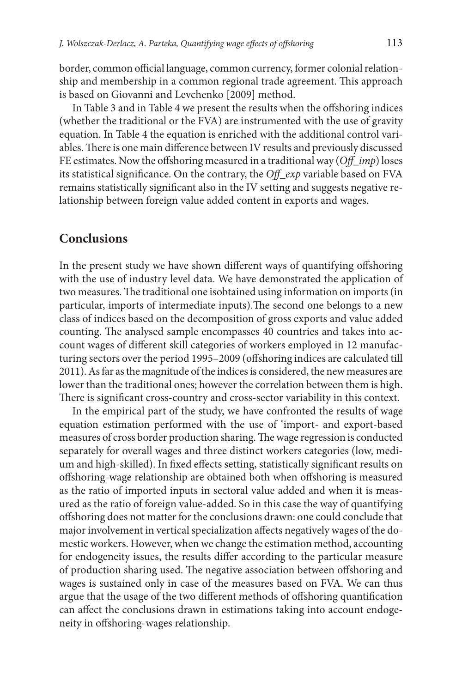border, common official language, common currency, former colonial relationship and membership in a common regional trade agreement. This approach is based on Giovanni and Levchenko [2009] method.

In Table 3 and in Table 4 we present the results when the offshoring indices (whether the traditional or the FVA) are instrumented with the use of gravity equation. In Table 4 the equation is enriched with the additional control variables. There is one main difference between IV results and previously discussed FE estimates. Now the offshoring measured in a traditional way (*Off\_imp*) loses its statistical significance. On the contrary, the *Off\_exp* variable based on FVA remains statistically significant also in the IV setting and suggests negative relationship between foreign value added content in exports and wages.

#### **Conclusions**

In the present study we have shown different ways of quantifying offshoring with the use of industry level data. We have demonstrated the application of two measures. The traditional one isobtained using information on imports (in particular, imports of intermediate inputs).The second one belongs to a new class of indices based on the decomposition of gross exports and value added counting. The analysed sample encompasses 40 countries and takes into account wages of different skill categories of workers employed in 12 manufacturing sectors over the period 1995–2009 (offshoring indices are calculated till 2011). As far as the magnitude of the indices is considered, the new measures are lower than the traditional ones; however the correlation between them is high. There is significant cross-country and cross-sector variability in this context.

In the empirical part of the study, we have confronted the results of wage equation estimation performed with the use of 'import- and export-based measures of cross border production sharing. The wage regression is conducted separately for overall wages and three distinct workers categories (low, medium and high-skilled). In fixed effects setting, statistically significant results on offshoring-wage relationship are obtained both when offshoring is measured as the ratio of imported inputs in sectoral value added and when it is measured as the ratio of foreign value-added. So in this case the way of quantifying offshoring does not matter for the conclusions drawn: one could conclude that major involvement in vertical specialization affects negatively wages of the domestic workers. However, when we change the estimation method, accounting for endogeneity issues, the results differ according to the particular measure of production sharing used. The negative association between offshoring and wages is sustained only in case of the measures based on FVA. We can thus argue that the usage of the two different methods of offshoring quantification can affect the conclusions drawn in estimations taking into account endogeneity in offshoring-wages relationship.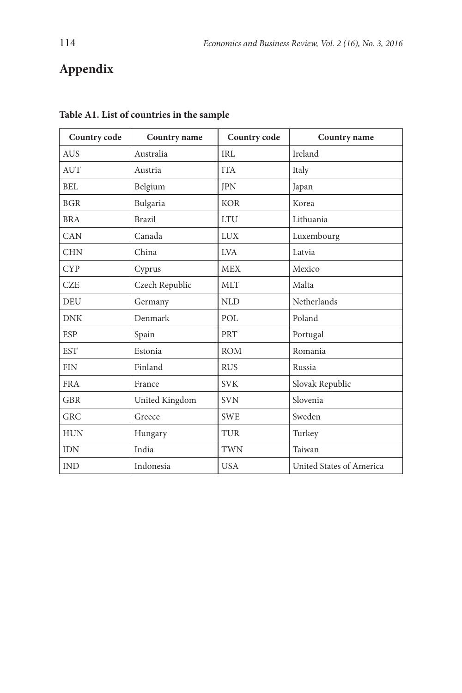# **Appendix**

| Country code | Country name   | Country code | Country name             |
|--------------|----------------|--------------|--------------------------|
| <b>AUS</b>   | Australia      | IRL          | Ireland                  |
| <b>AUT</b>   | Austria        | <b>ITA</b>   | Italy                    |
| BEL          | Belgium        | <b>JPN</b>   | Japan                    |
| <b>BGR</b>   | Bulgaria       | <b>KOR</b>   | Korea                    |
| <b>BRA</b>   | <b>Brazil</b>  | <b>LTU</b>   | Lithuania                |
| CAN          | Canada         | <b>LUX</b>   | Luxembourg               |
| <b>CHN</b>   | China          | <b>LVA</b>   | Latvia                   |
| <b>CYP</b>   | Cyprus         | <b>MEX</b>   | Mexico                   |
| <b>CZE</b>   | Czech Republic | <b>MLT</b>   | Malta                    |
| <b>DEU</b>   | Germany        | <b>NLD</b>   | Netherlands              |
| <b>DNK</b>   | Denmark        | POL          | Poland                   |
| <b>ESP</b>   | Spain          | PRT          | Portugal                 |
| <b>EST</b>   | Estonia        | <b>ROM</b>   | Romania                  |
| <b>FIN</b>   | Finland        | <b>RUS</b>   | Russia                   |
| <b>FRA</b>   | France         | <b>SVK</b>   | Slovak Republic          |
| <b>GBR</b>   | United Kingdom | <b>SVN</b>   | Slovenia                 |
| <b>GRC</b>   | Greece         | <b>SWE</b>   | Sweden                   |
| <b>HUN</b>   | Hungary        | TUR          | Turkey                   |
| <b>IDN</b>   | India          | <b>TWN</b>   | Taiwan                   |
| <b>IND</b>   | Indonesia      | <b>USA</b>   | United States of America |

#### **Table A1. List of countries in the sample**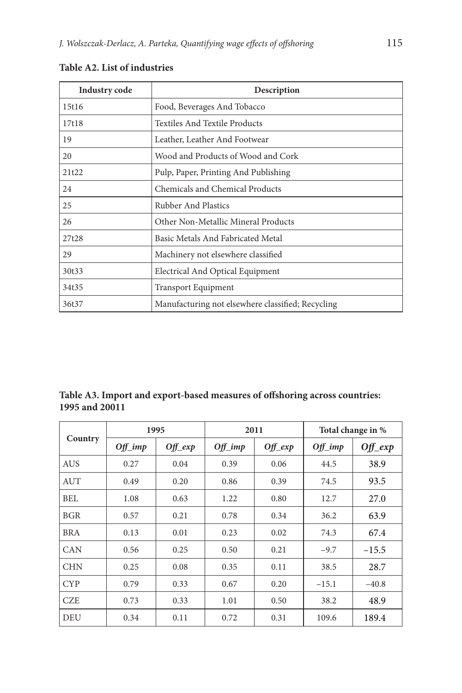| <b>Industry code</b> | Description                                       |  |  |  |  |
|----------------------|---------------------------------------------------|--|--|--|--|
| 15t16                | Food, Beverages And Tobacco                       |  |  |  |  |
| 17t18                | Textiles And Textile Products                     |  |  |  |  |
| 19                   | Leather, Leather And Footwear                     |  |  |  |  |
| 20                   | Wood and Products of Wood and Cork                |  |  |  |  |
| 21t22                | Pulp, Paper, Printing And Publishing              |  |  |  |  |
| 24                   | Chemicals and Chemical Products                   |  |  |  |  |
| 25                   | Rubber And Plastics                               |  |  |  |  |
| 26                   | Other Non-Metallic Mineral Products               |  |  |  |  |
| 27t28                | Basic Metals And Fabricated Metal                 |  |  |  |  |
| 29                   | Machinery not elsewhere classified                |  |  |  |  |
| 30t33                | Electrical And Optical Equipment                  |  |  |  |  |
| 34t35                | <b>Transport Equipment</b>                        |  |  |  |  |
| 36t37                | Manufacturing not elsewhere classified; Recycling |  |  |  |  |

### **Table A2. List of industries**

| Table A3. Import and export-based measures of offshoring across countries: |  |
|----------------------------------------------------------------------------|--|
| 1995 and 20011                                                             |  |

|            | 1995       |            | 2011       |            | Total change in % |            |
|------------|------------|------------|------------|------------|-------------------|------------|
| Country    | $Off\_imp$ | $Of_{exp}$ | $Off\_imp$ | $Off\_exp$ | $Off\_imp$        | $Off\_exp$ |
| <b>AUS</b> | 0.27       | 0.04       | 0.39       | 0.06       | 44.5              | 38.9       |
| <b>AUT</b> | 0.49       | 0.20       | 0.86       | 0.39       | 74.5              | 93.5       |
| <b>BEL</b> | 1.08       | 0.63       | 1.22       | 0.80       | 12.7              | 27.0       |
| <b>BGR</b> | 0.57       | 0.21       | 0.78       | 0.34       | 36.2              | 63.9       |
| <b>BRA</b> | 0.13       | 0.01       | 0.23       | 0.02       | 74.3              | 67.4       |
| <b>CAN</b> | 0.56       | 0.25       | 0.50       | 0.21       | $-9.7$            | $-15.5$    |
| <b>CHN</b> | 0.25       | 0.08       | 0.35       | 0.11       | 38.5              | 28.7       |
| <b>CYP</b> | 0.79       | 0.33       | 0.67       | 0.20       | $-15.1$           | $-40.8$    |
| <b>CZE</b> | 0.73       | 0.33       | 1.01       | 0.50       | 38.2              | 48.9       |
| <b>DEU</b> | 0.34       | 0.11       | 0.72       | 0.31       | 109.6             | 189.4      |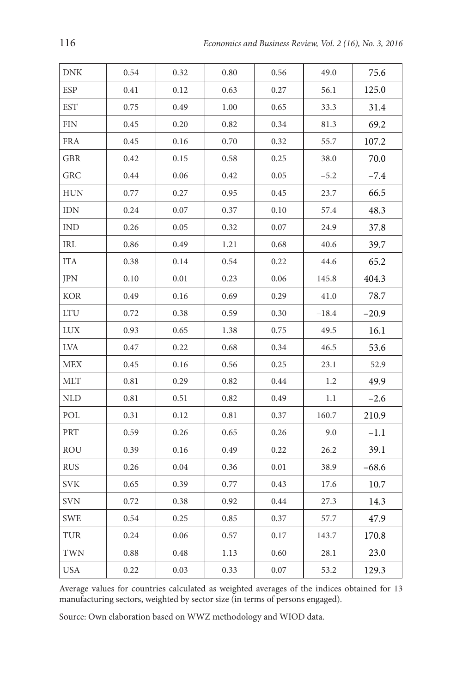| DNK         | 0.54     | 0.32 | 0.80 | 0.56 | 49.0    | 75.6    |
|-------------|----------|------|------|------|---------|---------|
| ESP         | 0.41     | 0.12 | 0.63 | 0.27 | 56.1    | 125.0   |
| <b>EST</b>  | 0.75     | 0.49 | 1.00 | 0.65 | 33.3    | 31.4    |
| FIN         | 0.45     | 0.20 | 0.82 | 0.34 | 81.3    | 69.2    |
| <b>FRA</b>  | 0.45     | 0.16 | 0.70 | 0.32 | 55.7    | 107.2   |
| GBR         | 0.42     | 0.15 | 0.58 | 0.25 | 38.0    | 70.0    |
| GRC         | 0.44     | 0.06 | 0.42 | 0.05 | $-5.2$  | $-7.4$  |
| <b>HUN</b>  | 0.77     | 0.27 | 0.95 | 0.45 | 23.7    | 66.5    |
| <b>IDN</b>  | 0.24     | 0.07 | 0.37 | 0.10 | 57.4    | 48.3    |
| <b>IND</b>  | 0.26     | 0.05 | 0.32 | 0.07 | 24.9    | 37.8    |
| IRL         | 0.86     | 0.49 | 1.21 | 0.68 | 40.6    | 39.7    |
| <b>ITA</b>  | 0.38     | 0.14 | 0.54 | 0.22 | 44.6    | 65.2    |
| <b>JPN</b>  | 0.10     | 0.01 | 0.23 | 0.06 | 145.8   | 404.3   |
| KOR         | 0.49     | 0.16 | 0.69 | 0.29 | 41.0    | 78.7    |
| ${\rm LTC}$ | 0.72     | 0.38 | 0.59 | 0.30 | $-18.4$ | $-20.9$ |
| <b>LUX</b>  | 0.93     | 0.65 | 1.38 | 0.75 | 49.5    | 16.1    |
| $\rm LVA$   | 0.47     | 0.22 | 0.68 | 0.34 | 46.5    | 53.6    |
| <b>MEX</b>  | 0.45     | 0.16 | 0.56 | 0.25 | 23.1    | 52.9    |
| MLT         | 0.81     | 0.29 | 0.82 | 0.44 | 1.2     | 49.9    |
| NLD         | $0.81\,$ | 0.51 | 0.82 | 0.49 | 1.1     | $-2.6$  |
| POL         | 0.31     | 0.12 | 0.81 | 0.37 | 160.7   | 210.9   |
| PRT         | 0.59     | 0.26 | 0.65 | 0.26 | 9.0     | $-1.1$  |
| ROU         | 0.39     | 0.16 | 0.49 | 0.22 | 26.2    | 39.1    |
| <b>RUS</b>  | 0.26     | 0.04 | 0.36 | 0.01 | 38.9    | $-68.6$ |
| SVK         | 0.65     | 0.39 | 0.77 | 0.43 | 17.6    | 10.7    |
| <b>SVN</b>  | 0.72     | 0.38 | 0.92 | 0.44 | 27.3    | 14.3    |
| SWE         | 0.54     | 0.25 | 0.85 | 0.37 | 57.7    | 47.9    |
| TUR         | 0.24     | 0.06 | 0.57 | 0.17 | 143.7   | 170.8   |
| TWN         | 0.88     | 0.48 | 1.13 | 0.60 | 28.1    | 23.0    |
| <b>USA</b>  | 0.22     | 0.03 | 0.33 | 0.07 | 53.2    | 129.3   |

Average values for countries calculated as weighted averages of the indices obtained for 13 manufacturing sectors, weighted by sector size (in terms of persons engaged).

Source: Own elaboration based on WWZ methodology and WIOD data.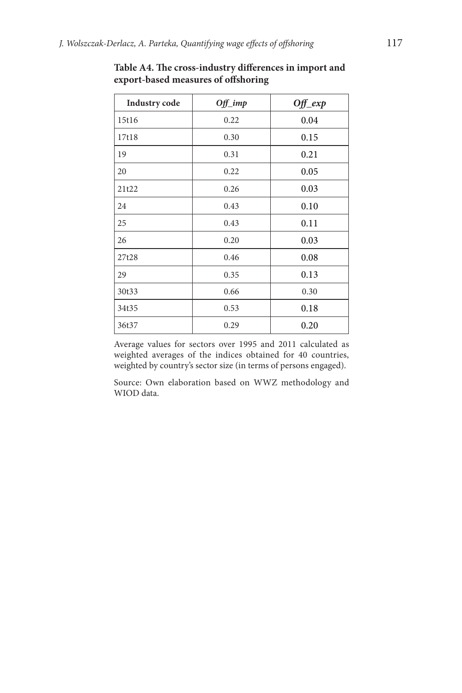| <b>Industry</b> code | $Off\_imp$ | $Off\_exp$ |
|----------------------|------------|------------|
| 15t16                | 0.22       | 0.04       |
| 17t18                | 0.30       | 0.15       |
| 19                   | 0.31       | 0.21       |
| 20                   | 0.22       | 0.05       |
| 21t22                | 0.26       | 0.03       |
| 24                   | 0.43       | 0.10       |
| 25                   | 0.43       | 0.11       |
| 26                   | 0.20       | 0.03       |
| 27t28                | 0.46       | 0.08       |
| 29                   | 0.35       | 0.13       |
| 30t33                | 0.66       | 0.30       |
| 34t35                | 0.53       | 0.18       |
| 36t37                | 0.29       | 0.20       |

**Table A4. The cross-industry differences in import and export-based measures of offshoring**

Average values for sectors over 1995 and 2011 calculated as weighted averages of the indices obtained for 40 countries, weighted by country's sector size (in terms of persons engaged).

Source: Own elaboration based on WWZ methodology and WIOD data.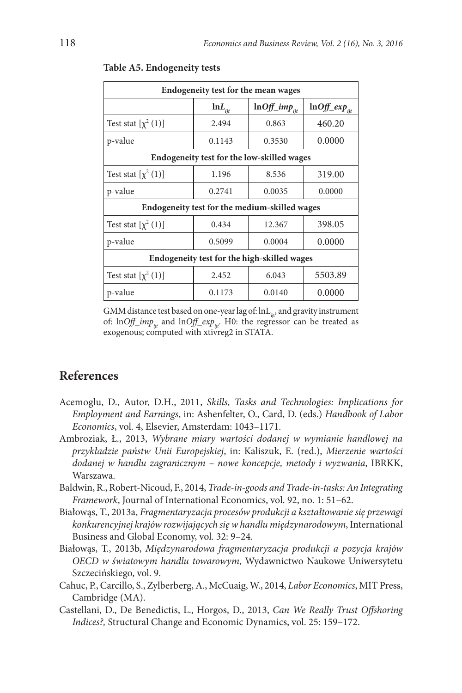| Endogeneity test for the mean wages         |                      |                                               |                    |  |  |  |  |  |
|---------------------------------------------|----------------------|-----------------------------------------------|--------------------|--|--|--|--|--|
|                                             | $lnL$ <sub>iit</sub> | $ln Off\_imp_{ii}$                            | $ln Off\_exp_{it}$ |  |  |  |  |  |
| Test stat $[\chi^2(1)]$                     | 2.494                | 0.863                                         | 460.20             |  |  |  |  |  |
| p-value                                     | 0.1143               | 0.3530                                        | 0.0000             |  |  |  |  |  |
| Endogeneity test for the low-skilled wages  |                      |                                               |                    |  |  |  |  |  |
| Test stat $[\chi^2(1)]$                     | 1.196                | 8.536                                         | 319.00             |  |  |  |  |  |
| p-value                                     | 0.2741               | 0.0035                                        | 0.0000             |  |  |  |  |  |
|                                             |                      | Endogeneity test for the medium-skilled wages |                    |  |  |  |  |  |
| Test stat $[\chi^2(1)]$                     | 0.434                | 12.367                                        | 398.05             |  |  |  |  |  |
| p-value                                     | 0.5099               | 0.0004                                        | 0.0000             |  |  |  |  |  |
| Endogeneity test for the high-skilled wages |                      |                                               |                    |  |  |  |  |  |
| Test stat $[\chi^2(1)]$                     | 2.452                | 6.043                                         | 5503.89            |  |  |  |  |  |
| p-value                                     | 0.1173               | 0.0140                                        | 0.0000             |  |  |  |  |  |

#### **Table A5. Endogeneity tests**

GMM distance test based on one-year lag of: lnL<sub>ii</sub>, and gravity instrument of: ln*Off\_imp<sub>ijt</sub>* and ln*Off\_exp<sub>iit</sub>*. H0: the regressor can be treated as exogenous; computed with xtivreg2 in STATA.

### **References**

- Acemoglu, D., Autor, D.H., 2011, *Skills, Tasks and Technologies: Implications for Employment and Earnings*, in: Ashenfelter, O., Card, D. (eds.) *Handbook of Labor Economics*, vol. 4, Elsevier, Amsterdam: 1043–1171.
- Ambroziak, Ł., 2013, *Wybrane miary wartości dodanej w wymianie handlowej na przykładzie państw Unii Europejskiej*, in: Kaliszuk, E. (red.), *Mierzenie wartości dodanej w handlu zagranicznym – nowe koncepcje, metody i wyzwania*, IBRKK, Warszawa.
- Baldwin, R., Robert-Nicoud, F., 2014, *Trade-in-goods and Trade-in-tasks: An Integrating Framework*, Journal of International Economics, vol. 92, no. 1: 51–62.
- Białowąs, T., 2013a, *Fragmentaryzacja procesów produkcji a kształtowanie się przewagi konkurencyjnej krajów rozwijających się w handlu międzynarodowym*, International Business and Global Economy, vol. 32: 9–24.
- Białowąs, T., 2013b, *Międzynarodowa fragmentaryzacja produkcji a pozycja krajów OECD w światowym handlu towarowym*, Wydawnictwo Naukowe Uniwersytetu Szczecińskiego, vol. 9.
- Cahuc, P., Carcillo, S., Zylberberg, A., McCuaig, W., 2014, *Labor Economics*, MIT Press, Cambridge (MA).
- Castellani, D., De Benedictis, L., Horgos, D., 2013, *Can We Really Trust Offshoring Indices?,* Structural Change and Economic Dynamics, vol. 25: 159–172.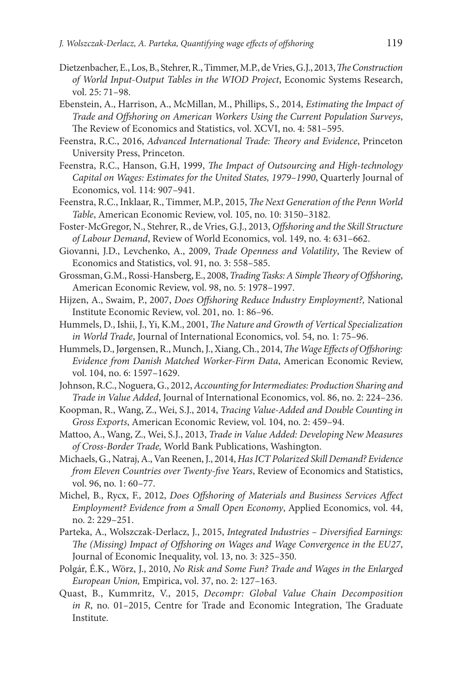- Dietzenbacher, E., Los, B., Stehrer, R., Timmer, M.P., de Vries, G.J., 2013, *The Construction of World Input-Output Tables in the WIOD Project*, Economic Systems Research, vol. 25: 71–98.
- Ebenstein, A., Harrison, A., McMillan, M., Phillips, S., 2014, *Estimating the Impact of Trade and Offshoring on American Workers Using the Current Population Surveys*, The Review of Economics and Statistics, vol. XCVI, no. 4: 581–595.
- Feenstra, R.C., 2016, *Advanced International Trade: Theory and Evidence*, Princeton University Press, Princeton.
- Feenstra, R.C., Hanson, G.H, 1999, *The Impact of Outsourcing and High-technology Capital on Wages: Estimates for the United States, 1979–1990*, Quarterly Journal of Economics, vol. 114: 907–941.
- Feenstra, R.C., Inklaar, R., Timmer, M.P., 2015, *The Next Generation of the Penn World Table*, American Economic Review, vol. 105, no. 10: 3150–3182.
- Foster-McGregor, N., Stehrer, R., de Vries, G.J., 2013, *Offshoring and the Skill Structure of Labour Demand*, Review of World Economics, vol. 149, no. 4: 631–662.
- Giovanni, J.D., Levchenko, A., 2009, *Trade Openness and Volatility*, The Review of Economics and Statistics, vol. 91, no. 3: 558–585.
- Grossman, G.M., Rossi-Hansberg, E., 2008, *Trading Tasks: A Simple Theory of Offshoring*, American Economic Review, vol. 98, no. 5: 1978–1997.
- Hijzen, A., Swaim, P., 2007, *Does Offshoring Reduce Industry Employment?,* National Institute Economic Review, vol. 201, no. 1: 86–96.
- Hummels, D., Ishii, J., Yi, K.M., 2001, *The Nature and Growth of Vertical Specialization in World Trade*, Journal of International Economics, vol. 54, no. 1: 75–96.
- Hummels, D., Jørgensen, R., Munch, J., Xiang, Ch., 2014, *The Wage Effects of Offshoring: Evidence from Danish Matched Worker-Firm Data*, American Economic Review, vol. 104, no. 6: 1597–1629.
- Johnson, R.C., Noguera, G., 2012, *Accounting for Intermediates: Production Sharing and Trade in Value Added*, Journal of International Economics, vol. 86, no. 2: 224–236.
- Koopman, R., Wang, Z., Wei, S.J., 2014, *Tracing Value-Added and Double Counting in Gross Exports*, American Economic Review, vol. 104, no. 2: 459–94.
- Mattoo, A., Wang, Z., Wei, S.J., 2013, *Trade in Value Added: Developing New Measures of Cross-Border Trade,* World Bank Publications, Washington.
- Michaels, G., Natraj, A., Van Reenen, J., 2014, *Has ICT Polarized Skill Demand? Evidence from Eleven Countries over Twenty-five Years*, Review of Economics and Statistics, vol. 96, no. 1: 60–77.
- Michel, B., Rycx, F., 2012, *Does Offshoring of Materials and Business Services Affect Employment? Evidence from a Small Open Economy*, Applied Economics, vol. 44, no. 2: 229–251.
- Parteka, A., Wolszczak-Derlacz, J., 2015, *Integrated Industries Diversified Earnings: The (Missing) Impact of Offshoring on Wages and Wage Convergence in the EU27*, Journal of Economic Inequality, vol. 13, no. 3: 325–350.
- Polgár, É.K., Wörz, J., 2010, *No Risk and Some Fun? Trade and Wages in the Enlarged European Union,* Empirica, vol. 37, no. 2: 127–163.
- Quast, B., Kummritz, V., 2015, *Decompr: Global Value Chain Decomposition in R*, no. 01–2015, Centre for Trade and Economic Integration, The Graduate Institute.